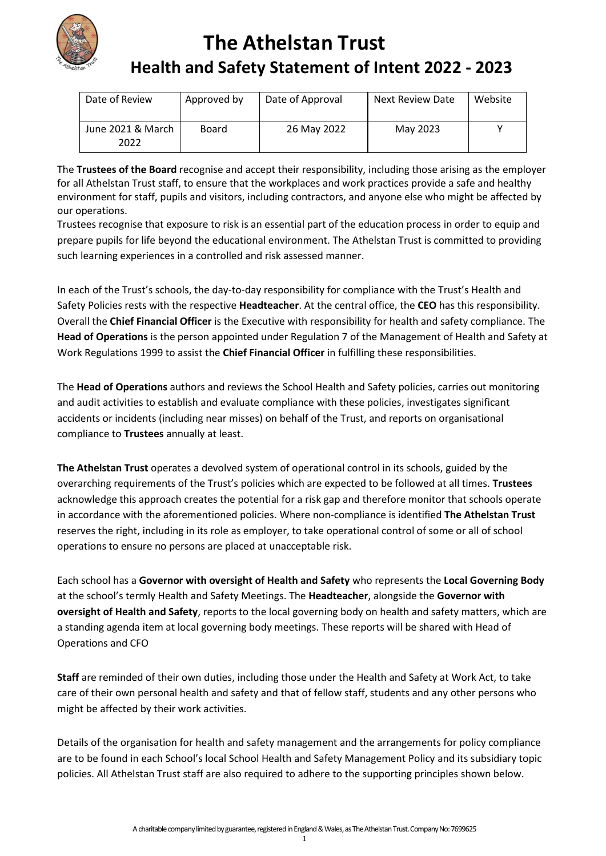

## **The Athelstan Trust Health and Safety Statement of Intent 2022 - 2023**

| Date of Review            | Approved by | Date of Approval | Next Review Date | Website |
|---------------------------|-------------|------------------|------------------|---------|
| June 2021 & March<br>2022 | Board       | 26 May 2022      | May 2023         |         |

The **Trustees of the Board** recognise and accept their responsibility, including those arising as the employer for all Athelstan Trust staff, to ensure that the workplaces and work practices provide a safe and healthy environment for staff, pupils and visitors, including contractors, and anyone else who might be affected by our operations.

Trustees recognise that exposure to risk is an essential part of the education process in order to equip and prepare pupils for life beyond the educational environment. The Athelstan Trust is committed to providing such learning experiences in a controlled and risk assessed manner.

In each of the Trust's schools, the day-to-day responsibility for compliance with the Trust's Health and Safety Policies rests with the respective **Headteacher**. At the central office, the **CEO** has this responsibility. Overall the **Chief Financial Officer** is the Executive with responsibility for health and safety compliance. The **Head of Operations** is the person appointed under Regulation 7 of the Management of Health and Safety at Work Regulations 1999 to assist the **Chief Financial Officer** in fulfilling these responsibilities.

The **Head of Operations** authors and reviews the School Health and Safety policies, carries out monitoring and audit activities to establish and evaluate compliance with these policies, investigates significant accidents or incidents (including near misses) on behalf of the Trust, and reports on organisational compliance to **Trustees** annually at least.

**The Athelstan Trust** operates a devolved system of operational control in its schools, guided by the overarching requirements of the Trust's policies which are expected to be followed at all times. **Trustees** acknowledge this approach creates the potential for a risk gap and therefore monitor that schools operate in accordance with the aforementioned policies. Where non-compliance is identified **The Athelstan Trust**  reserves the right, including in its role as employer, to take operational control of some or all of school operations to ensure no persons are placed at unacceptable risk.

Each school has a **Governor with oversight of Health and Safety** who represents the **Local Governing Body** at the school's termly Health and Safety Meetings. The **Headteacher**, alongside the **Governor with oversight of Health and Safety**, reports to the local governing body on health and safety matters, which are a standing agenda item at local governing body meetings. These reports will be shared with Head of Operations and CFO

**Staff** are reminded of their own duties, including those under the Health and Safety at Work Act, to take care of their own personal health and safety and that of fellow staff, students and any other persons who might be affected by their work activities.

Details of the organisation for health and safety management and the arrangements for policy compliance are to be found in each School's local School Health and Safety Management Policy and its subsidiary topic policies. All Athelstan Trust staff are also required to adhere to the supporting principles shown below.